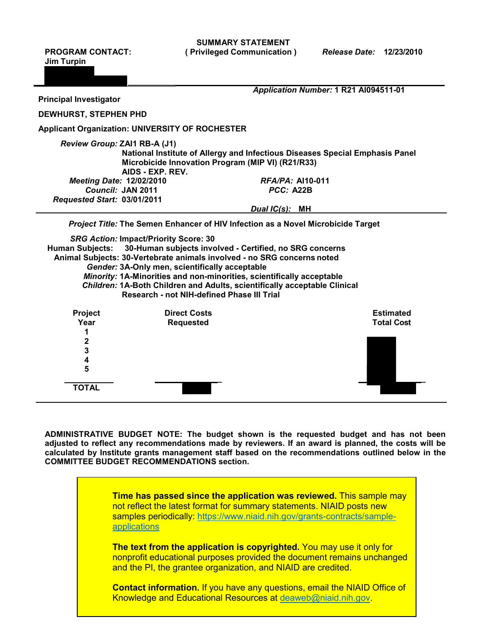**Jim Turpin**

**3 4 5** 

**TOTAL**

**SUMMARY STATEMENT PROGRAM CONTACT: ( Privileged Communication )** *Release Date:* **12/23/2010** 

|                                                  |                                                                                                                                                                                                                                                                                                                                                                                                                                                          | Application Number: 1 R21 Al094511-01 |                                       |
|--------------------------------------------------|----------------------------------------------------------------------------------------------------------------------------------------------------------------------------------------------------------------------------------------------------------------------------------------------------------------------------------------------------------------------------------------------------------------------------------------------------------|---------------------------------------|---------------------------------------|
| <b>Principal Investigator</b>                    |                                                                                                                                                                                                                                                                                                                                                                                                                                                          |                                       |                                       |
| <b>DEWHURST, STEPHEN PHD</b>                     |                                                                                                                                                                                                                                                                                                                                                                                                                                                          |                                       |                                       |
|                                                  | <b>Applicant Organization: UNIVERSITY OF ROCHESTER</b>                                                                                                                                                                                                                                                                                                                                                                                                   |                                       |                                       |
| Review Group: ZAI1 RB-A (J1)                     | National Institute of Allergy and Infectious Diseases Special Emphasis Panel<br>Microbicide Innovation Program (MIP VI) (R21/R33)<br>AIDS - EXP. REV.                                                                                                                                                                                                                                                                                                    |                                       |                                       |
| <b>Meeting Date: 12/02/2010</b>                  |                                                                                                                                                                                                                                                                                                                                                                                                                                                          | <b>RFA/PA: AI10-011</b>               |                                       |
| Council: JAN 2011<br>Requested Start: 03/01/2011 |                                                                                                                                                                                                                                                                                                                                                                                                                                                          | PCC: A22B                             |                                       |
|                                                  |                                                                                                                                                                                                                                                                                                                                                                                                                                                          | Dual IC(s): MH                        |                                       |
|                                                  | Project Title: The Semen Enhancer of HIV Infection as a Novel Microbicide Target                                                                                                                                                                                                                                                                                                                                                                         |                                       |                                       |
|                                                  | <b>SRG Action: Impact/Priority Score: 30</b><br>Human Subjects: 30-Human subjects involved - Certified, no SRG concerns<br>Animal Subjects: 30-Vertebrate animals involved - no SRG concerns noted<br>Gender: 3A-Only men, scientifically acceptable<br>Minority: 1A-Minorities and non-minorities, scientifically acceptable<br>Children: 1A-Both Children and Adults, scientifically acceptable Clinical<br>Research - not NIH-defined Phase III Trial |                                       |                                       |
| <b>Project</b><br>Year<br>2                      | <b>Direct Costs</b><br><b>Requested</b>                                                                                                                                                                                                                                                                                                                                                                                                                  |                                       | <b>Estimated</b><br><b>Total Cost</b> |

**ADMINISTRATIVE BUDGET NOTE: The budget shown is the requested budget and has not been adjusted to reflect any recommendations made by reviewers. If an award is planned, the costs will be calculated by Institute grants management staff based on the recommendations outlined below in the COMMITTEE BUDGET RECOMMENDATIONS section.**

 **\_ \_** 

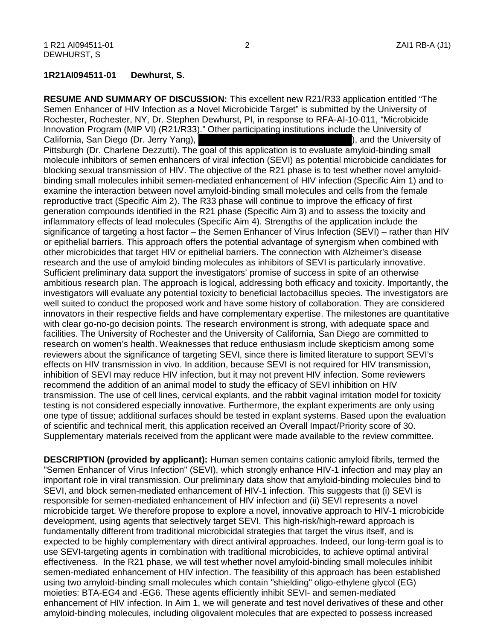#### **1R21AI094511-01 Dewhurst, S.**

Innovation Program (MIP VI) (R21/R33)." Other participating institutions include the University of ), and the University of molecule inhibitors of semen enhancers of viral infection (SEVI) as potential microbicide candidates for blocking sexual transmission of HIV. The objective of the R21 phase is to test whether novel amyloid- binding small molecules inhibit semen-mediated enhancement of HIV infection (Specific Aim 1) and to examine the interaction between novel amyloid-binding small molecules and cells from the female reproductive tract (Specific Aim 2). The R33 phase will continue to improve the efficacy of first significance of targeting a host factor – the Semen Enhancer of Virus Infection (SEVI) – rather than HIV research and the use of amyloid binding molecules as inhibitors of SEVI is particularly innovative. ambitious research plan. The approach is logical, addressing both efficacy and toxicity. Importantly, the well suited to conduct the proposed work and have some history of collaboration. They are considered innovators in their respective fields and have complementary expertise. The milestones are quantitative recommend the addition of an animal model to study the efficacy of SEVI inhibition on HIV transmission. The use of cell lines, cervical explants, and the rabbit vaginal irritation model for toxicity **RESUME AND SUMMARY OF DISCUSSION:** This excellent new R21/R33 application entitled "The Semen Enhancer of HIV Infection as a Novel Microbicide Target" is submitted by the University of Rochester, Rochester, NY, Dr. Stephen Dewhurst, PI, in response to RFA-AI-10-011, "Microbicide California, San Diego (Dr. Jerry Yang), Pittsburgh (Dr. Charlene Dezzutti). The goal of this application is to evaluate amyloid-binding small generation compounds identified in the R21 phase (Specific Aim 3) and to assess the toxicity and inflammatory effects of lead molecules (Specific Aim 4). Strengths of the application include the or epithelial barriers. This approach offers the potential advantage of synergism when combined with other microbicides that target HIV or epithelial barriers. The connection with Alzheimer's disease Sufficient preliminary data support the investigators' promise of success in spite of an otherwise investigators will evaluate any potential toxicity to beneficial lactobacillus species. The investigators are with clear go-no-go decision points. The research environment is strong, with adequate space and facilities. The University of Rochester and the University of California, San Diego are committed to research on women's health. Weaknesses that reduce enthusiasm include skepticism among some reviewers about the significance of targeting SEVI, since there is limited literature to support SEVI's effects on HIV transmission in vivo. In addition, because SEVI is not required for HIV transmission, inhibition of SEVI may reduce HIV infection, but it may not prevent HIV infection. Some reviewers testing is not considered especially innovative. Furthermore, the explant experiments are only using one type of tissue; additional surfaces should be tested in explant systems. Based upon the evaluation of scientific and technical merit, this application received an Overall Impact/Priority score of 30. Supplementary materials received from the applicant were made available to the review committee.

 **DESCRIPTION (provided by applicant):** Human semen contains cationic amyloid fibrils, termed the "Semen Enhancer of Virus Infection" (SEVI), which strongly enhance HIV-1 infection and may play an responsible for semen-mediated enhancement of HIV infection and (ii) SEVI represents a novel fundamentally different from traditional microbicidal strategies that target the virus itself, and is expected to be highly complementary with direct antiviral approaches. Indeed, our long-term goal is to effectiveness. In the R21 phase, we will test whether novel amyloid-binding small molecules inhibit semen-mediated enhancement of HIV infection. The feasibility of this approach has been established using two amyloid-binding small molecules which contain "shielding" oligo-ethylene glycol (EG) enhancement of HIV infection. In Aim 1, we will generate and test novel derivatives of these and other important role in viral transmission. Our preliminary data show that amyloid-binding molecules bind to SEVI, and block semen-mediated enhancement of HIV-1 infection. This suggests that (i) SEVI is microbicide target. We therefore propose to explore a novel, innovative approach to HIV-1 microbicide development, using agents that selectively target SEVI. This high-risk/high-reward approach is use SEVI-targeting agents in combination with traditional microbicides, to achieve optimal antiviral moieties: BTA-EG4 and -EG6. These agents efficiently inhibit SEVI- and semen-mediated amyloid-binding molecules, including oligovalent molecules that are expected to possess increased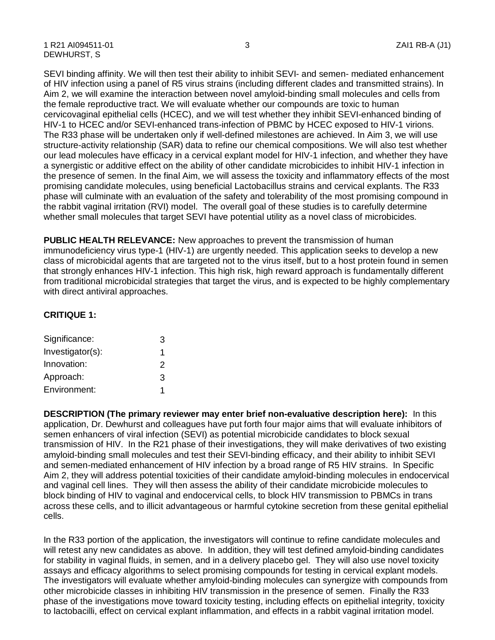of HIV infection using a panel of R5 virus strains (including different clades and transmitted strains). In Aim 2, we will examine the interaction between novel amyloid-binding small molecules and cells from the female reproductive tract. We will evaluate whether our compounds are toxic to human a synergistic or additive effect on the ability of other candidate microbicides to inhibit HIV-1 infection in the presence of semen. In the final Aim, we will assess the toxicity and inflammatory effects of the most promising candidate molecules, using beneficial Lactobacillus strains and cervical explants. The R33 phase will culminate with an evaluation of the safety and tolerability of the most promising compound in the rabbit vaginal irritation (RVI) model. The overall goal of these studies is to carefully determine SEVI binding affinity. We will then test their ability to inhibit SEVI- and semen- mediated enhancement cervicovaginal epithelial cells (HCEC), and we will test whether they inhibit SEVI-enhanced binding of HIV-1 to HCEC and/or SEVI-enhanced trans-infection of PBMC by HCEC exposed to HIV-1 virions. The R33 phase will be undertaken only if well-defined milestones are achieved. In Aim 3, we will use structure-activity relationship (SAR) data to refine our chemical compositions. We will also test whether our lead molecules have efficacy in a cervical explant model for HIV-1 infection, and whether they have whether small molecules that target SEVI have potential utility as a novel class of microbicides.

 from traditional microbicidal strategies that target the virus, and is expected to be highly complementary **PUBLIC HEALTH RELEVANCE:** New approaches to prevent the transmission of human immunodeficiency virus type-1 (HIV-1) are urgently needed. This application seeks to develop a new class of microbicidal agents that are targeted not to the virus itself, but to a host protein found in semen that strongly enhances HIV-1 infection. This high risk, high reward approach is fundamentally different with direct antiviral approaches.

## **CRITIQUE 1:**

| Significance:    | З |
|------------------|---|
| Investigator(s): | 1 |
| Innovation:      | 2 |
| Approach:        | 3 |
| Environment:     | 1 |

 **DESCRIPTION (The primary reviewer may enter brief non-evaluative description here):** In this application, Dr. Dewhurst and colleagues have put forth four major aims that will evaluate inhibitors of Aim 2, they will address potential toxicities of their candidate amyloid-binding molecules in endocervical and vaginal cell lines. They will then assess the ability of their candidate microbicide molecules to across these cells, and to illicit advantageous or harmful cytokine secretion from these genital epithelial semen enhancers of viral infection (SEVI) as potential microbicide candidates to block sexual transmission of HIV. In the R21 phase of their investigations, they will make derivatives of two existing amyloid-binding small molecules and test their SEVI-binding efficacy, and their ability to inhibit SEVI and semen-mediated enhancement of HIV infection by a broad range of R5 HIV strains. In Specific block binding of HIV to vaginal and endocervical cells, to block HIV transmission to PBMCs in trans cells.

 In the R33 portion of the application, the investigators will continue to refine candidate molecules and will retest any new candidates as above. In addition, they will test defined amyloid-binding candidates assays and efficacy algorithms to select promising compounds for testing in cervical explant models. The investigators will evaluate whether amyloid-binding molecules can synergize with compounds from for stability in vaginal fluids, in semen, and in a delivery placebo gel. They will also use novel toxicity other microbicide classes in inhibiting HIV transmission in the presence of semen. Finally the R33 phase of the investigations move toward toxicity testing, including effects on epithelial integrity, toxicity to lactobacilli, effect on cervical explant inflammation, and effects in a rabbit vaginal irritation model.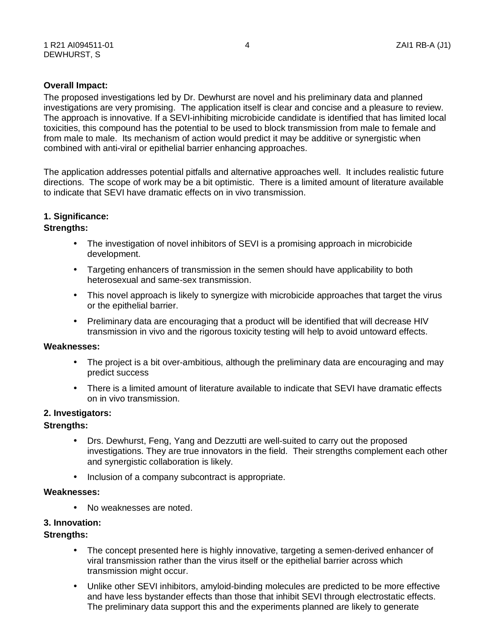### **Overall Impact:**

 The proposed investigations led by Dr. Dewhurst are novel and his preliminary data and planned investigations are very promising. The application itself is clear and concise and a pleasure to review. combined with anti-viral or epithelial barrier enhancing approaches. The approach is innovative. If a SEVI-inhibiting microbicide candidate is identified that has limited local toxicities, this compound has the potential to be used to block transmission from male to female and from male to male. Its mechanism of action would predict it may be additive or synergistic when

 The application addresses potential pitfalls and alternative approaches well. It includes realistic future directions. The scope of work may be a bit optimistic. There is a limited amount of literature available to indicate that SEVI have dramatic effects on in vivo transmission.

# **1. Significance: Strengths:**

- The investigation of novel inhibitors of SEVI is a promising approach in microbicide development.
- Targeting enhancers of transmission in the semen should have applicability to both heterosexual and same-sex transmission.
- This novel approach is likely to synergize with microbicide approaches that target the virus or the epithelial barrier.
- Preliminary data are encouraging that a product will be identified that will decrease HIV transmission in vivo and the rigorous toxicity testing will help to avoid untoward effects.

### **Weaknesses:**

- The project is a bit over-ambitious, although the preliminary data are encouraging and may predict success
- There is a limited amount of literature available to indicate that SEVI have dramatic effects on in vivo transmission.

# **2. Investigators: Strengths:**

- Drs. Dewhurst, Feng, Yang and Dezzutti are well-suited to carry out the proposed investigations. They are true innovators in the field. Their strengths complement each other and synergistic collaboration is likely.
- Inclusion of a company subcontract is appropriate.

### **Weaknesses:**

• No weaknesses are noted.

# **3. Innovation: Strengths:**

- The concept presented here is highly innovative, targeting a semen-derived enhancer of viral transmission rather than the virus itself or the epithelial barrier across which transmission might occur.
- and have less bystander effects than those that inhibit SEVI through electrostatic effects. • Unlike other SEVI inhibitors, amyloid-binding molecules are predicted to be more effective The preliminary data support this and the experiments planned are likely to generate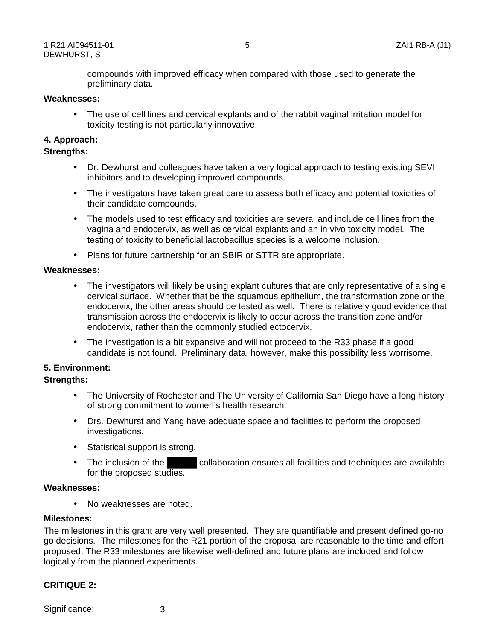compounds with improved efficacy when compared with those used to generate the preliminary data.

### **Weaknesses:**

• The use of cell lines and cervical explants and of the rabbit vaginal irritation model for toxicity testing is not particularly innovative.

# **4. Approach: Strengths:**

- inhibitors and to developing improved compounds. • Dr. Dewhurst and colleagues have taken a very logical approach to testing existing SEVI
- The investigators have taken great care to assess both efficacy and potential toxicities of their candidate compounds.
- The models used to test efficacy and toxicities are several and include cell lines from the vagina and endocervix, as well as cervical explants and an in vivo toxicity model. The testing of toxicity to beneficial lactobacillus species is a welcome inclusion.
- Plans for future partnership for an SBIR or STTR are appropriate.

### **Weaknesses:**

- transmission across the endocervix is likely to occur across the transition zone and/or • The investigators will likely be using explant cultures that are only representative of a single cervical surface. Whether that be the squamous epithelium, the transformation zone or the endocervix, the other areas should be tested as well. There is relatively good evidence that endocervix, rather than the commonly studied ectocervix.
- The investigation is a bit expansive and will not proceed to the R33 phase if a good candidate is not found. Preliminary data, however, make this possibility less worrisome.

## **5. Environment:**

## **Strengths:**

- The University of Rochester and The University of California San Diego have a long history of strong commitment to women's health research.
- Drs. Dewhurst and Yang have adequate space and facilities to perform the proposed investigations.
- Statistical support is strong.
- The inclusion of the collaboration ensures all facilities and techniques are available for the proposed studies.

### **Weaknesses:**

• No weaknesses are noted.

### **Milestones:**

 go decisions. The milestones for the R21 portion of the proposal are reasonable to the time and effort proposed. The R33 milestones are likewise well-defined and future plans are included and follow The milestones in this grant are very well presented. They are quantifiable and present defined go-no logically from the planned experiments.

### **CRITIQUE 2:**

Significance: 3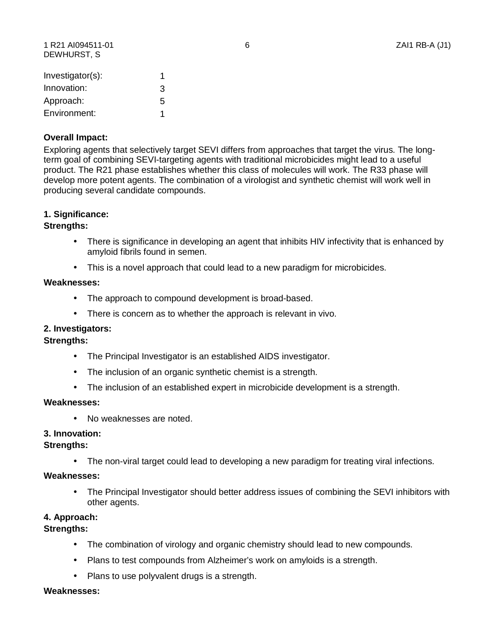1 R21 AI094511-01 6 ZAI1 RB-A (J1) DEWHURST, S

| Investigator(s): |   |
|------------------|---|
| Innovation:      | 3 |
| Approach:        | 5 |
| Environment:     |   |

### **Overall Impact:**

 term goal of combining SEVI-targeting agents with traditional microbicides might lead to a useful Exploring agents that selectively target SEVI differs from approaches that target the virus. The longproduct. The R21 phase establishes whether this class of molecules will work. The R33 phase will develop more potent agents. The combination of a virologist and synthetic chemist will work well in producing several candidate compounds.

# **1. Significance: Strengths:**

- There is significance in developing an agent that inhibits HIV infectivity that is enhanced by amyloid fibrils found in semen.
- This is a novel approach that could lead to a new paradigm for microbicides.

### **Weaknesses:**

- The approach to compound development is broad-based.
- There is concern as to whether the approach is relevant in vivo.

# **2. Investigators: Strengths:**

- The Principal Investigator is an established AIDS investigator.
- The inclusion of an organic synthetic chemist is a strength.
- The inclusion of an established expert in microbicide development is a strength.

### **Weaknesses:**

• No weaknesses are noted.

# **3. Innovation: Strengths:**

• The non-viral target could lead to developing a new paradigm for treating viral infections.

### **Weaknesses:**

• The Principal Investigator should better address issues of combining the SEVI inhibitors with other agents.

## **4. Approach: Strengths:**

- The combination of virology and organic chemistry should lead to new compounds.
- Plans to test compounds from Alzheimer's work on amyloids is a strength.
- Plans to use polyvalent drugs is a strength.

### **Weaknesses:**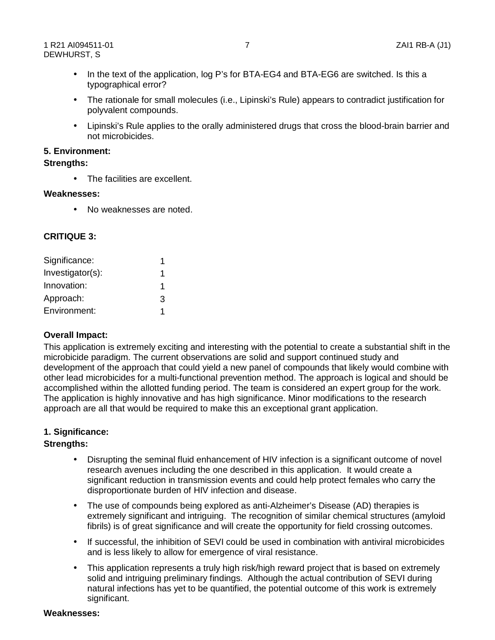- In the text of the application, log P's for BTA-EG4 and BTA-EG6 are switched. Is this a typographical error?
- The rationale for small molecules (i.e., Lipinski's Rule) appears to contradict justification for polyvalent compounds.
- Lipinski's Rule applies to the orally administered drugs that cross the blood-brain barrier and not microbicides.

### **5. Environment:**

### **Strengths:**

• The facilities are excellent.

### **Weaknesses:**

• No weaknesses are noted.

## **CRITIQUE 3:**

| Significance:    | 1 |
|------------------|---|
| Investigator(s): | 1 |
| Innovation:      | 1 |
| Approach:        | 3 |
| Environment:     | 1 |

## **Overall Impact:**

 accomplished within the allotted funding period. The team is considered an expert group for the work. The application is highly innovative and has high significance. Minor modifications to the research This application is extremely exciting and interesting with the potential to create a substantial shift in the microbicide paradigm. The current observations are solid and support continued study and development of the approach that could yield a new panel of compounds that likely would combine with other lead microbicides for a multi-functional prevention method. The approach is logical and should be approach are all that would be required to make this an exceptional grant application.

# **1. Significance: Strengths:**

- Disrupting the seminal fluid enhancement of HIV infection is a significant outcome of novel research avenues including the one described in this application. It would create a significant reduction in transmission events and could help protect females who carry the disproportionate burden of HIV infection and disease.
- The use of compounds being explored as anti-Alzheimer's Disease (AD) therapies is extremely significant and intriguing. The recognition of similar chemical structures (amyloid fibrils) is of great significance and will create the opportunity for field crossing outcomes.
- If successful, the inhibition of SEVI could be used in combination with antiviral microbicides and is less likely to allow for emergence of viral resistance.
- This application represents a truly high risk/high reward project that is based on extremely solid and intriguing preliminary findings. Although the actual contribution of SEVI during natural infections has yet to be quantified, the potential outcome of this work is extremely significant.

## **Weaknesses:**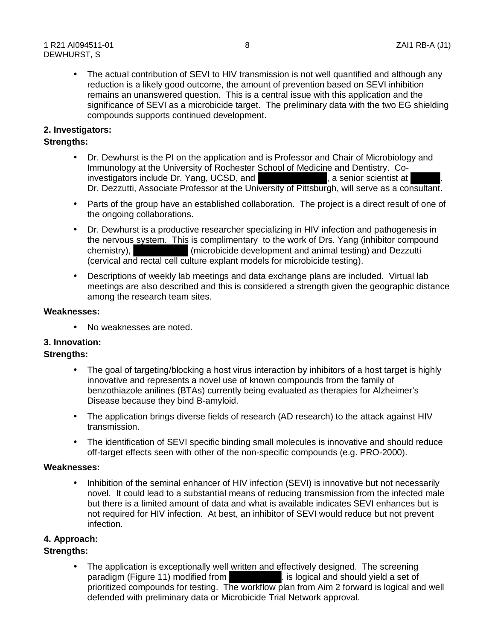reduction is a likely good outcome, the amount of prevention based on SEVI inhibition • The actual contribution of SEVI to HIV transmission is not well quantified and although any remains an unanswered question. This is a central issue with this application and the significance of SEVI as a microbicide target. The preliminary data with the two EG shielding compounds supports continued development.

### **2. Investigators:**

### **Strengths:**

- Dr. Dezzutti, Associate Professor at the University of Pittsburgh, will serve as a consultant. • Dr. Dewhurst is the PI on the application and is Professor and Chair of Microbiology and Immunology at the University of Rochester School of Medicine and Dentistry. Coinvestigators include Dr. Yang, UCSD, and , a senior scientist at .
- Parts of the group have an established collaboration. The project is a direct result of one of the ongoing collaborations.
- Dr. Dewhurst is a productive researcher specializing in HIV infection and pathogenesis in the nervous system. This is complimentary to the work of Drs. Yang (inhibitor compound chemistry), (microbicide development and animal testing) and Dezzutti (cervical and rectal cell culture explant models for microbicide testing).
- Descriptions of weekly lab meetings and data exchange plans are included. Virtual lab meetings are also described and this is considered a strength given the geographic distance among the research team sites.

#### **Weaknesses:**

No weaknesses are noted.

# **3. Innovation: Strengths:**

- Disease because they bind B-amyloid. • The goal of targeting/blocking a host virus interaction by inhibitors of a host target is highly innovative and represents a novel use of known compounds from the family of benzothiazole anilines (BTAs) currently being evaluated as therapies for Alzheimer's
- The application brings diverse fields of research (AD research) to the attack against HIV transmission.
- The identification of SEVI specific binding small molecules is innovative and should reduce off-target effects seen with other of the non-specific compounds (e.g. PRO-2000).

#### **Weaknesses:**

Inhibition of the seminal enhancer of HIV infection (SEVI) is innovative but not necessarily novel. It could lead to a substantial means of reducing transmission from the infected male but there is a limited amount of data and what is available indicates SEVI enhances but is not required for HIV infection. At best, an inhibitor of SEVI would reduce but not prevent infection.

# **4. Approach: Strengths:**

 • The application is exceptionally well written and effectively designed. The screening paradigm (Figure 11) modified from **the same of the set of state of state of set of** sparadist unit of the set of prioritized compounds for testing. The workflow plan from Aim 2 forward is logical and well defended with preliminary data or Microbicide Trial Network approval.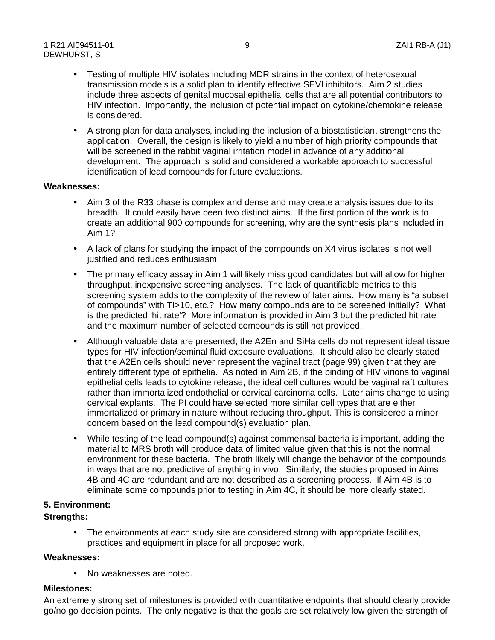- include three aspects of genital mucosal epithelial cells that are all potential contributors to • Testing of multiple HIV isolates including MDR strains in the context of heterosexual transmission models is a solid plan to identify effective SEVI inhibitors. Aim 2 studies HIV infection. Importantly, the inclusion of potential impact on cytokine/chemokine release is considered.
- A strong plan for data analyses, including the inclusion of a biostatistician, strengthens the will be screened in the rabbit vaginal irritation model in advance of any additional identification of lead compounds for future evaluations. application. Overall, the design is likely to yield a number of high priority compounds that development. The approach is solid and considered a workable approach to successful

#### **Weaknesses:**

- Aim 3 of the R33 phase is complex and dense and may create analysis issues due to its create an additional 900 compounds for screening, why are the synthesis plans included in breadth. It could easily have been two distinct aims. If the first portion of the work is to Aim 1?
- A lack of plans for studying the impact of the compounds on X4 virus isolates is not well justified and reduces enthusiasm.
- The primary efficacy assay in Aim 1 will likely miss good candidates but will allow for higher throughput, inexpensive screening analyses. The lack of quantifiable metrics to this screening system adds to the complexity of the review of later aims. How many is "a subset of compounds" with TI>10, etc.? How many compounds are to be screened initially? What is the predicted 'hit rate'? More information is provided in Aim 3 but the predicted hit rate and the maximum number of selected compounds is still not provided.
- rather than immortalized endothelial or cervical carcinoma cells. Later aims change to using immortalized or primary in nature without reducing throughput. This is considered a minor • Although valuable data are presented, the A2En and SiHa cells do not represent ideal tissue types for HIV infection/seminal fluid exposure evaluations. It should also be clearly stated that the A2En cells should never represent the vaginal tract (page 99) given that they are entirely different type of epithelia. As noted in Aim 2B, if the binding of HIV virions to vaginal epithelial cells leads to cytokine release, the ideal cell cultures would be vaginal raft cultures cervical explants. The PI could have selected more similar cell types that are either concern based on the lead compound(s) evaluation plan.
- in ways that are not predictive of anything in vivo. Similarly, the studies proposed in Aims 4B and 4C are redundant and are not described as a screening process. If Aim 4B is to • While testing of the lead compound(s) against commensal bacteria is important, adding the material to MRS broth will produce data of limited value given that this is not the normal environment for these bacteria. The broth likely will change the behavior of the compounds eliminate some compounds prior to testing in Aim 4C, it should be more clearly stated.

## **5. Environment:**

### **Strengths:**

• The environments at each study site are considered strong with appropriate facilities, practices and equipment in place for all proposed work.

### **Weaknesses:**

• No weaknesses are noted.

## **Milestones:**

 An extremely strong set of milestones is provided with quantitative endpoints that should clearly provide go/no go decision points. The only negative is that the goals are set relatively low given the strength of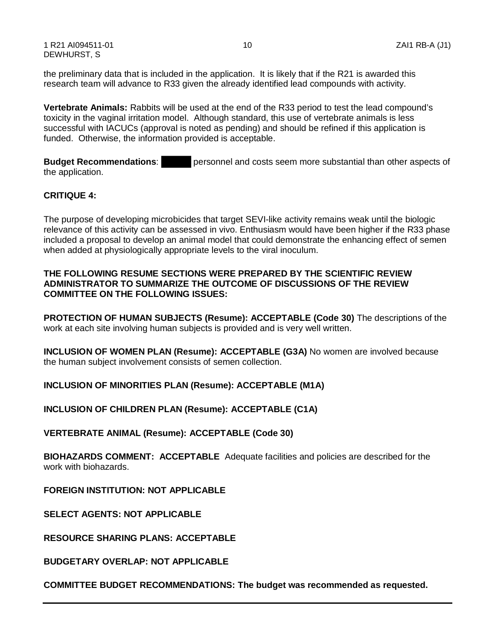1 R21 AI094511-01 10 ZAI1 RB-A (J1) DEWHURST, S

the preliminary data that is included in the application. It is likely that if the R21 is awarded this research team will advance to R33 given the already identified lead compounds with activity.

 **Vertebrate Animals:** Rabbits will be used at the end of the R33 period to test the lead compound's successful with IACUCs (approval is noted as pending) and should be refined if this application is toxicity in the vaginal irritation model. Although standard, this use of vertebrate animals is less funded. Otherwise, the information provided is acceptable.

**Budget Recommendations:** personnel and costs seem more substantial than other aspects of the application.

### **CRITIQUE 4:**

 The purpose of developing microbicides that target SEVI-like activity remains weak until the biologic relevance of this activity can be assessed in vivo. Enthusiasm would have been higher if the R33 phase included a proposal to develop an animal model that could demonstrate the enhancing effect of semen when added at physiologically appropriate levels to the viral inoculum.

#### **THE FOLLOWING RESUME SECTIONS WERE PREPARED BY THE SCIENTIFIC REVIEW ADMINISTRATOR TO SUMMARIZE THE OUTCOME OF DISCUSSIONS OF THE REVIEW COMMITTEE ON THE FOLLOWING ISSUES:**

**PROTECTION OF HUMAN SUBJECTS (Resume): ACCEPTABLE (Code 30)** The descriptions of the work at each site involving human subjects is provided and is very well written.

**INCLUSION OF WOMEN PLAN (Resume): ACCEPTABLE (G3A)** No women are involved because the human subject involvement consists of semen collection.

**INCLUSION OF MINORITIES PLAN (Resume): ACCEPTABLE (M1A)**

**INCLUSION OF CHILDREN PLAN (Resume): ACCEPTABLE (C1A)**

**VERTEBRATE ANIMAL (Resume): ACCEPTABLE (Code 30)**

 **BIOHAZARDS COMMENT: ACCEPTABLE** Adequate facilities and policies are described for the work with biohazards.

**FOREIGN INSTITUTION: NOT APPLICABLE** 

**SELECT AGENTS: NOT APPLICABLE** 

**RESOURCE SHARING PLANS: ACCEPTABLE** 

**BUDGETARY OVERLAP: NOT APPLICABLE** 

**COMMITTEE BUDGET RECOMMENDATIONS: The budget was recommended as requested.**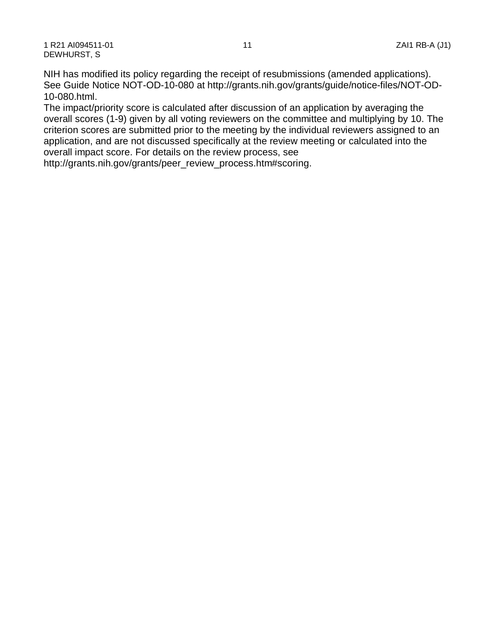NIH has modified its policy regarding the receipt of resubmissions (amended applications). See Guide Notice NOT-OD-10-080 at http://grants.nih.gov/grants/guide/notice-files/NOT-OD-10-080.html.

The impact/priority score is calculated after discussion of an application by averaging the overall scores (1-9) given by all voting reviewers on the committee and multiplying by 10. The criterion scores are submitted prior to the meeting by the individual reviewers assigned to an application, and are not discussed specifically at the review meeting or calculated into the overall impact score. For details on the review process, see

http://grants.nih.gov/grants/peer\_review\_process.htm#scoring.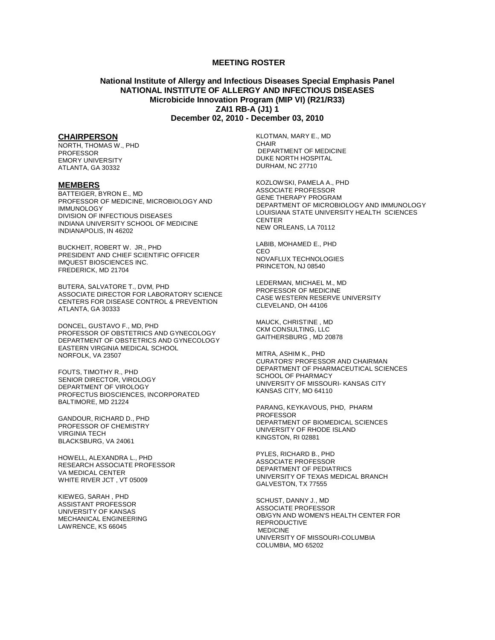#### **MEETING ROSTER**

#### **National Institute of Allergy and Infectious Diseases Special Emphasis Panel NATIONAL INSTITUTE OF ALLERGY AND INFECTIOUS DISEASES Microbicide Innovation Program (MIP VI) (R21/R33) ZAI1 RB-A (J1) 1 December 02, 2010 - December 03, 2010**

#### **CHAIRPERSON**

NORTH, THOMAS W., PHD PROFESSOR EMORY UNIVERSITY ATLANTA, GA 30332

#### **MEMBERS**

BATTEIGER, BYRON E., MD PROFESSOR OF MEDICINE, MICROBIOLOGY AND **IMMUNOLOGY** DIVISION OF INFECTIOUS DISEASES INDIANA UNIVERSITY SCHOOL OF MEDICINE INDIANAPOLIS, IN 46202

BUCKHEIT, ROBERT W. JR., PHD PRESIDENT AND CHIEF SCIENTIFIC OFFICER IMQUEST BIOSCIENCES INC. FREDERICK, MD 21704

BUTERA, SALVATORE T., DVM, PHD ASSOCIATE DIRECTOR FOR LABORATORY SCIENCE CENTERS FOR DISEASE CONTROL & PREVENTION ATLANTA, GA 30333

DONCEL, GUSTAVO F., MD, PHD PROFESSOR OF OBSTETRICS AND GYNECOLOGY DEPARTMENT OF OBSTETRICS AND GYNECOLOGY EASTERN VIRGINIA MEDICAL SCHOOL NORFOLK, VA 23507

FOUTS, TIMOTHY R., PHD SENIOR DIRECTOR, VIROLOGY DEPARTMENT OF VIROLOGY PROFECTUS BIOSCIENCES, INCORPORATED BALTIMORE, MD 21224

GANDOUR, RICHARD D., PHD PROFESSOR OF CHEMISTRY VIRGINIA TECH BLACKSBURG, VA 24061

HOWELL, ALEXANDRA L., PHD RESEARCH ASSOCIATE PROFESSOR VA MEDICAL CENTER WHITE RIVER JCT , VT 05009

KIEWEG, SARAH , PHD ASSISTANT PROFESSOR UNIVERSITY OF KANSAS MECHANICAL ENGINEERING LAWRENCE, KS 66045

KLOTMAN, MARY E., MD CHAIR DEPARTMENT OF MEDICINE DUKE NORTH HOSPITAL DURHAM, NC 27710

KOZLOWSKI, PAMELA A., PHD ASSOCIATE PROFESSOR GENE THERAPY PROGRAM DEPARTMENT OF MICROBIOLOGY AND IMMUNOLOGY LOUISIANA STATE UNIVERSITY HEALTH SCIENCES CENTER NEW ORLEANS, LA 70112

LABIB, MOHAMED E., PHD CEO NOVAFLUX TECHNOLOGIES PRINCETON, NJ 08540

LEDERMAN, MICHAEL M., MD PROFESSOR OF MEDICINE CASE WESTERN RESERVE UNIVERSITY CLEVELAND, OH 44106

MAUCK, CHRISTINE , MD CKM CONSULTING, LLC GAITHERSBURG , MD 20878

MITRA, ASHIM K., PHD CURATORS' PROFESSOR AND CHAIRMAN DEPARTMENT OF PHARMACEUTICAL SCIENCES SCHOOL OF PHARMACY UNIVERSITY OF MISSOURI- KANSAS CITY KANSAS CITY, MO 64110

 PARANG, KEYKAVOUS, PHD, PHARM PROFESSOR DEPARTMENT OF BIOMEDICAL SCIENCES UNIVERSITY OF RHODE ISLAND KINGSTON, RI 02881

PYLES, RICHARD B., PHD ASSOCIATE PROFESSOR DEPARTMENT OF PEDIATRICS UNIVERSITY OF TEXAS MEDICAL BRANCH GALVESTON, TX 77555

SCHUST, DANNY J., MD ASSOCIATE PROFESSOR OB/GYN AND WOMEN'S HEALTH CENTER FOR REPRODUCTIVE MEDICINE UNIVERSITY OF MISSOURI-COLUMBIA COLUMBIA, MO 65202